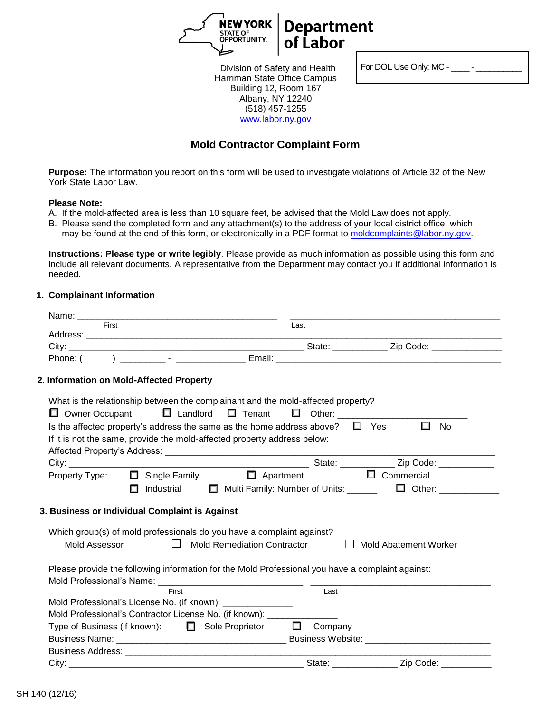

For DOL Use Only: MC - \_\_\_\_\_ - \_\_

Division of Safety and Health Harriman State Office Campus Building 12, Room 167 Albany, NY 12240 (518) 457-1255 www.labor.ny.gov

# **Mold Contractor Complaint Form**

**Purpose:** The information you report on this form will be used to investigate violations of Article 32 of the New York State Labor Law.

#### **Please Note:**

- A. If the mold-affected area is less than 10 square feet, be advised that the Mold Law does not apply.
- B. Please send the completed form and any attachment(s) to the address of your local district office, which may be found at the end of this form, or electronically in a PDF format to moldcomplaints@labor.ny.gov.

**Instructions: Please type or write legibly**. Please provide as much information as possible using this form and include all relevant documents. A representative from the Department may contact you if additional information is needed.

#### **1. Complainant Information**

| First                                                                                            | Last                                      |                                                |
|--------------------------------------------------------------------------------------------------|-------------------------------------------|------------------------------------------------|
|                                                                                                  |                                           |                                                |
|                                                                                                  |                                           |                                                |
| Phone: (                                                                                         |                                           |                                                |
| 2. Information on Mold-Affected Property                                                         |                                           |                                                |
| What is the relationship between the complainant and the mold-affected property?                 |                                           |                                                |
| $\Box$ Landlord $\Box$ Tenant<br>$\Box$ Owner Occupant                                           | D Other: _________________                |                                                |
| Is the affected property's address the same as the home address above? $\square$ Yes             |                                           | $\Box$<br><b>No</b>                            |
| If it is not the same, provide the mold-affected property address below:                         |                                           |                                                |
|                                                                                                  |                                           |                                                |
|                                                                                                  |                                           | State: ________________ Zip Code: ____________ |
| Property Type:<br>$\Box$ Single Family                                                           | $\Box$ Apartment                          | $\Box$ Commercial                              |
| Industrial<br>п                                                                                  | Multi Family: Number of Units: ______     | $\Box$ Other:                                  |
|                                                                                                  |                                           |                                                |
| 3. Business or Individual Complaint is Against                                                   |                                           |                                                |
|                                                                                                  |                                           |                                                |
| Which group(s) of mold professionals do you have a complaint against?                            |                                           |                                                |
| Mold Assessor                                                                                    | $\Box$ Mold Remediation Contractor        | <b>Mold Abatement Worker</b>                   |
|                                                                                                  |                                           |                                                |
| Please provide the following information for the Mold Professional you have a complaint against: |                                           |                                                |
|                                                                                                  |                                           |                                                |
| First                                                                                            | Last                                      |                                                |
| Mold Professional's License No. (if known): _______________                                      |                                           |                                                |
| Mold Professional's Contractor License No. (if known): _________                                 |                                           |                                                |
| Type of Business (if known):<br>$\Box$ Sole Proprietor $\Box$                                    | Company                                   |                                                |
|                                                                                                  |                                           |                                                |
|                                                                                                  |                                           |                                                |
|                                                                                                  | State: <b>State: State: State: State:</b> | Zip Code: _                                    |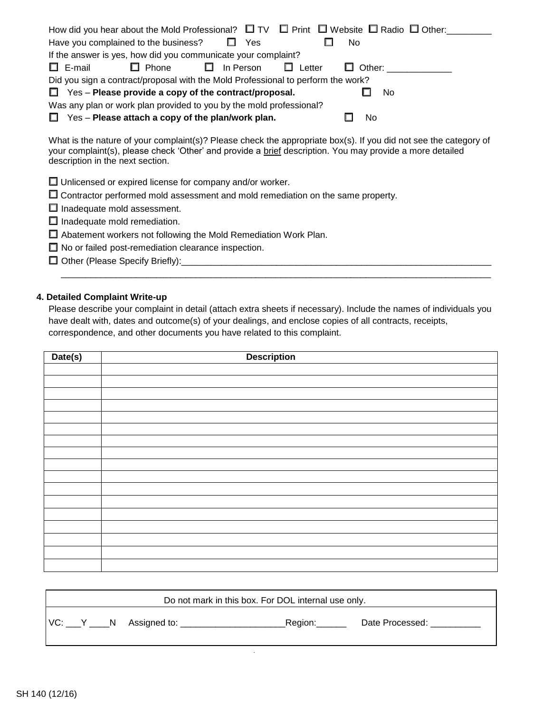| How did you hear about the Mold Professional? $\square$ TV $\square$ Print $\square$ Website $\square$ Radio $\square$ Other: |               |  |  |  |  |  |
|-------------------------------------------------------------------------------------------------------------------------------|---------------|--|--|--|--|--|
| Have you complained to the business?<br>Yes                                                                                   | No.           |  |  |  |  |  |
| If the answer is yes, how did you communicate your complaint?                                                                 |               |  |  |  |  |  |
| $\Box$ E-mail<br>$\Box$ Phone<br>$\Box$ In Person<br>Letter                                                                   | $\Box$ Other: |  |  |  |  |  |
| Did you sign a contract/proposal with the Mold Professional to perform the work?                                              |               |  |  |  |  |  |
| $\Box$ Yes – Please provide a copy of the contract/proposal.<br>No.                                                           |               |  |  |  |  |  |
| Was any plan or work plan provided to you by the mold professional?                                                           |               |  |  |  |  |  |
| $\Box$ Yes – Please attach a copy of the plan/work plan.                                                                      | No            |  |  |  |  |  |

What is the nature of your complaint(s)? Please check the appropriate box(s). If you did not see the category of your complaint(s), please check 'Other' and provide a brief description. You may provide a more detailed description in the next section.

| $\Box$ Unlicensed or expired license for company and/or worker. |  |
|-----------------------------------------------------------------|--|
|-----------------------------------------------------------------|--|

- $\Box$  Contractor performed mold assessment and mold remediation on the same property.
- $\Box$  Inadequate mold assessment.
- $\Box$  Inadequate mold remediation.
- Abatement workers not following the Mold Remediation Work Plan.
- $\Box$  No or failed post-remediation clearance inspection.
- Other (Please Specify Briefly):\_\_\_\_\_\_\_\_\_\_\_\_\_\_\_\_\_\_\_\_\_\_\_\_\_\_\_\_\_\_\_\_\_\_\_\_\_\_\_\_\_\_\_\_\_\_\_\_\_\_\_\_\_\_\_\_\_\_\_\_\_\_

#### **4. Detailed Complaint Write-up**

Please describe your complaint in detail (attach extra sheets if necessary). Include the names of individuals you have dealt with, dates and outcome(s) of your dealings, and enclose copies of all contracts, receipts, correspondence, and other documents you have related to this complaint.

 $\overline{\phantom{a}}$  ,  $\overline{\phantom{a}}$  ,  $\overline{\phantom{a}}$  ,  $\overline{\phantom{a}}$  ,  $\overline{\phantom{a}}$  ,  $\overline{\phantom{a}}$  ,  $\overline{\phantom{a}}$  ,  $\overline{\phantom{a}}$  ,  $\overline{\phantom{a}}$  ,  $\overline{\phantom{a}}$  ,  $\overline{\phantom{a}}$  ,  $\overline{\phantom{a}}$  ,  $\overline{\phantom{a}}$  ,  $\overline{\phantom{a}}$  ,  $\overline{\phantom{a}}$  ,  $\overline{\phantom{a}}$ 

| Date(s) | <b>Description</b> |  |  |
|---------|--------------------|--|--|
|         |                    |  |  |
|         |                    |  |  |
|         |                    |  |  |
|         |                    |  |  |
|         |                    |  |  |
|         |                    |  |  |
|         |                    |  |  |
|         |                    |  |  |
|         |                    |  |  |
|         |                    |  |  |
|         |                    |  |  |
|         |                    |  |  |
|         |                    |  |  |
|         |                    |  |  |
|         |                    |  |  |
|         |                    |  |  |
|         |                    |  |  |

| Do not mark in this box. For DOL internal use only. |              |          |                 |  |
|-----------------------------------------------------|--------------|----------|-----------------|--|
| VC: Y N                                             | Assigned to: | _Region: | Date Processed: |  |

 $\ddot{\phantom{0}}$ 

٦